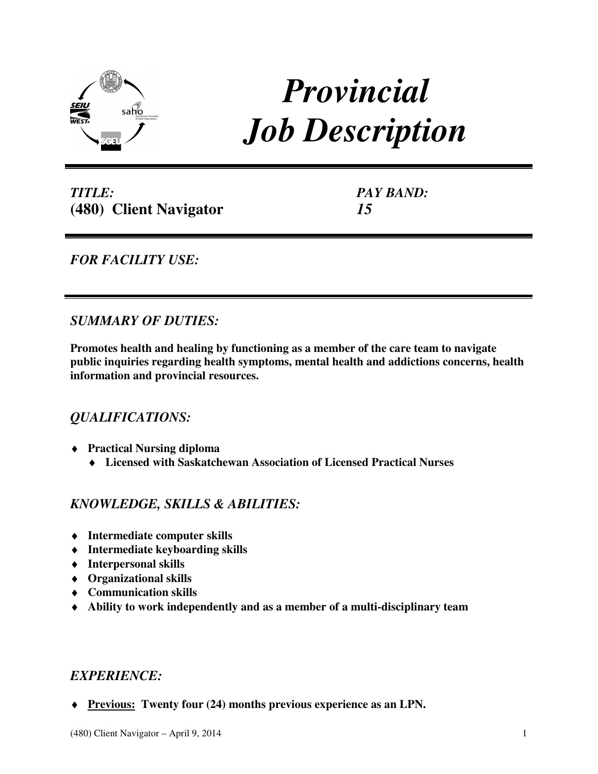

# *Provincial Job Description*

*TITLE:*  **(480) Client Navigator**  *PAY BAND: 15* 

*FOR FACILITY USE:* 

# *SUMMARY OF DUTIES:*

**Promotes health and healing by functioning as a member of the care team to navigate public inquiries regarding health symptoms, mental health and addictions concerns, health information and provincial resources.** 

## *QUALIFICATIONS:*

- ♦ **Practical Nursing diploma** 
	- ♦ **Licensed with Saskatchewan Association of Licensed Practical Nurses**

# *KNOWLEDGE, SKILLS & ABILITIES:*

- ♦ **Intermediate computer skills**
- ♦ **Intermediate keyboarding skills**
- ♦ **Interpersonal skills**
- ♦ **Organizational skills**
- ♦ **Communication skills**
- ♦ **Ability to work independently and as a member of a multi-disciplinary team**

## *EXPERIENCE:*

♦ **Previous: Twenty four (24) months previous experience as an LPN.**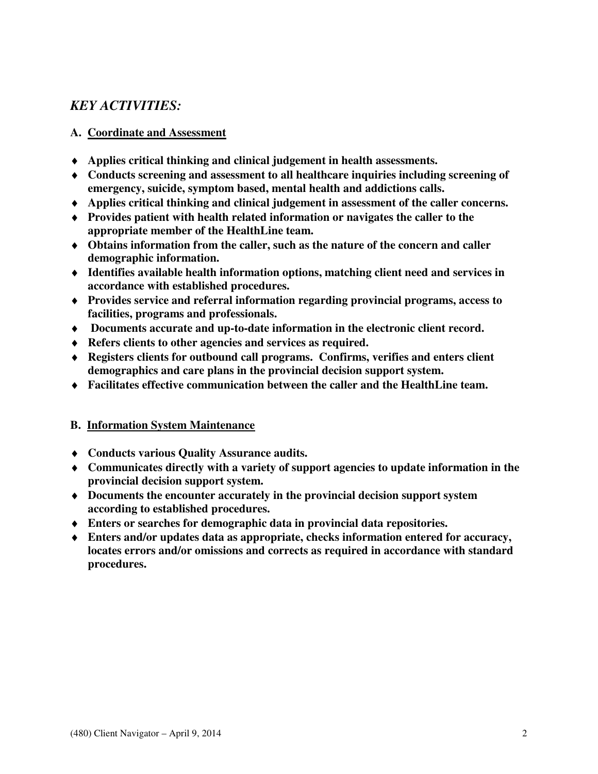## *KEY ACTIVITIES:*

## **A. Coordinate and Assessment**

- ♦ **Applies critical thinking and clinical judgement in health assessments.**
- ♦ **Conducts screening and assessment to all healthcare inquiries including screening of emergency, suicide, symptom based, mental health and addictions calls.**
- ♦ **Applies critical thinking and clinical judgement in assessment of the caller concerns.**
- ♦ **Provides patient with health related information or navigates the caller to the appropriate member of the HealthLine team.**
- ♦ **Obtains information from the caller, such as the nature of the concern and caller demographic information.**
- ♦ **Identifies available health information options, matching client need and services in accordance with established procedures.**
- ♦ **Provides service and referral information regarding provincial programs, access to facilities, programs and professionals.**
- ♦ **Documents accurate and up-to-date information in the electronic client record.**
- ♦ **Refers clients to other agencies and services as required.**
- ♦ **Registers clients for outbound call programs. Confirms, verifies and enters client demographics and care plans in the provincial decision support system.**
- ♦ **Facilitates effective communication between the caller and the HealthLine team.**

### **B. Information System Maintenance**

- ♦ **Conducts various Quality Assurance audits.**
- ♦ **Communicates directly with a variety of support agencies to update information in the provincial decision support system.**
- ♦ **Documents the encounter accurately in the provincial decision support system according to established procedures.**
- ♦ **Enters or searches for demographic data in provincial data repositories.**
- ♦ **Enters and/or updates data as appropriate, checks information entered for accuracy, locates errors and/or omissions and corrects as required in accordance with standard procedures.**